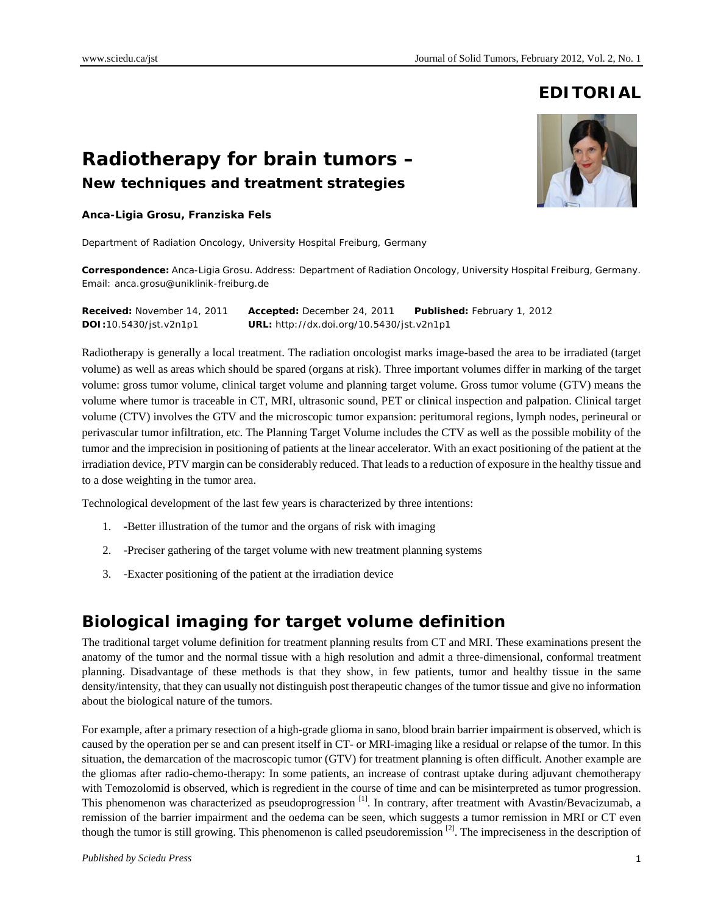### **EDITORIAL**

# **Radiotherapy for brain tumors –**

**New techniques and treatment strategies**

#### **Anca-Ligia Grosu, Franziska Fels**

Department of Radiation Oncology, University Hospital Freiburg, Germany

**Correspondence:** Anca-Ligia Grosu. Address: Department of Radiation Oncology, University Hospital Freiburg, Germany. Email: anca.grosu@uniklinik-freiburg.de

**Received:** November 14, 2011 **Accepted:** December 24, 2011 **Published:** February 1, 2012 **DOI:**10.5430/jst.v2n1p1 **URL:** http://dx.doi.org/10.5430/jst.v2n1p1

Radiotherapy is generally a local treatment. The radiation oncologist marks image-based the area to be irradiated (target volume) as well as areas which should be spared (organs at risk). Three important volumes differ in marking of the target volume: gross tumor volume, clinical target volume and planning target volume. Gross tumor volume (GTV) means the volume where tumor is traceable in CT, MRI, ultrasonic sound, PET or clinical inspection and palpation. Clinical target volume (CTV) involves the GTV and the microscopic tumor expansion: peritumoral regions, lymph nodes, perineural or perivascular tumor infiltration, etc. The Planning Target Volume includes the CTV as well as the possible mobility of the tumor and the imprecision in positioning of patients at the linear accelerator. With an exact positioning of the patient at the irradiation device, PTV margin can be considerably reduced. That leads to a reduction of exposure in the healthy tissue and to a dose weighting in the tumor area.

Technological development of the last few years is characterized by three intentions:

- 1. -Better illustration of the tumor and the organs of risk with imaging
- 2. -Preciser gathering of the target volume with new treatment planning systems
- 3. -Exacter positioning of the patient at the irradiation device

#### **Biological imaging for target volume definition**

The traditional target volume definition for treatment planning results from CT and MRI. These examinations present the anatomy of the tumor and the normal tissue with a high resolution and admit a three-dimensional, conformal treatment planning. Disadvantage of these methods is that they show, in few patients, tumor and healthy tissue in the same density/intensity, that they can usually not distinguish post therapeutic changes of the tumor tissue and give no information about the biological nature of the tumors.

For example, after a primary resection of a high-grade glioma in sano, blood brain barrier impairment is observed, which is caused by the operation per se and can present itself in CT- or MRI-imaging like a residual or relapse of the tumor. In this situation, the demarcation of the macroscopic tumor (GTV) for treatment planning is often difficult. Another example are the gliomas after radio-chemo-therapy: In some patients, an increase of contrast uptake during adjuvant chemotherapy with Temozolomid is observed, which is regredient in the course of time and can be misinterpreted as tumor progression. This phenomenon was characterized as pseudoprogression <sup>[1]</sup>. In contrary, after treatment with Avastin/Bevacizumab, a remission of the barrier impairment and the oedema can be seen, which suggests a tumor remission in MRI or CT even though the tumor is still growing. This phenomenon is called pseudoremission  $[2]$ . The impreciseness in the description of

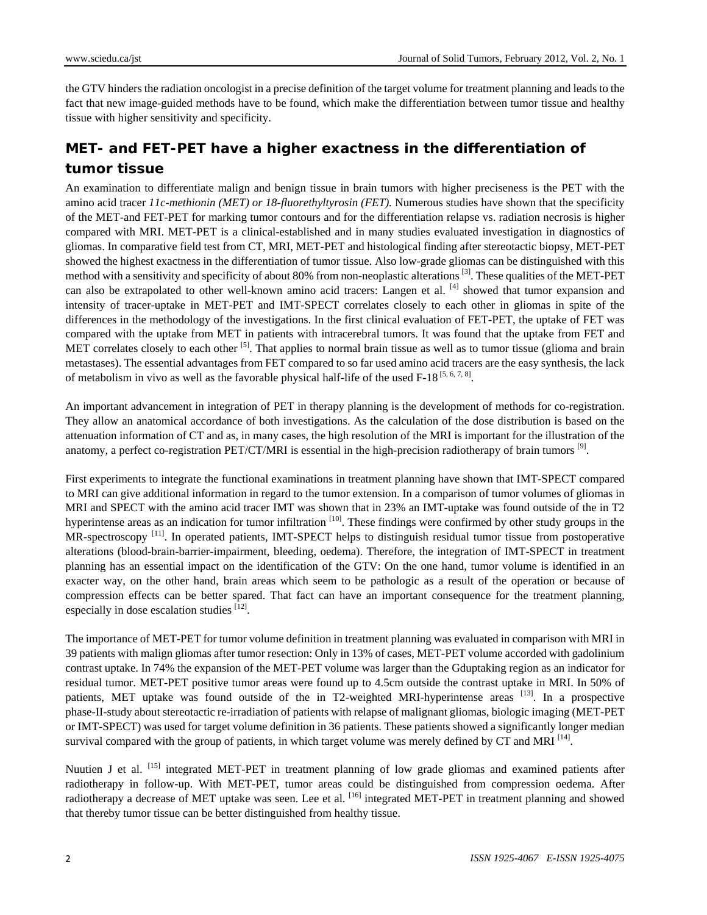the GTV hinders the radiation oncologist in a precise definition of the target volume for treatment planning and leads to the fact that new image-guided methods have to be found, which make the differentiation between tumor tissue and healthy tissue with higher sensitivity and specificity.

### **MET- and FET-PET have a higher exactness in the differentiation of tumor tissue**

An examination to differentiate malign and benign tissue in brain tumors with higher preciseness is the PET with the amino acid tracer *11c-methionin (MET) or 18-fluorethyltyrosin (FET).* Numerous studies have shown that the specificity of the MET-and FET-PET for marking tumor contours and for the differentiation relapse vs. radiation necrosis is higher compared with MRI. MET-PET is a clinical-established and in many studies evaluated investigation in diagnostics of gliomas. In comparative field test from CT, MRI, MET-PET and histological finding after stereotactic biopsy, MET-PET showed the highest exactness in the differentiation of tumor tissue. Also low-grade gliomas can be distinguished with this method with a sensitivity and specificity of about 80% from non-neoplastic alterations <sup>[3]</sup>. These qualities of the MET-PET can also be extrapolated to other well-known amino acid tracers: Langen et al. [4] showed that tumor expansion and intensity of tracer-uptake in MET-PET and IMT-SPECT correlates closely to each other in gliomas in spite of the differences in the methodology of the investigations. In the first clinical evaluation of FET-PET, the uptake of FET was compared with the uptake from MET in patients with intracerebral tumors. It was found that the uptake from FET and MET correlates closely to each other  $\left[5\right]$ . That applies to normal brain tissue as well as to tumor tissue (glioma and brain metastases). The essential advantages from FET compared to so far used amino acid tracers are the easy synthesis, the lack of metabolism in vivo as well as the favorable physical half-life of the used  $F-18^{5,6,7,8}$ .

An important advancement in integration of PET in therapy planning is the development of methods for co-registration. They allow an anatomical accordance of both investigations. As the calculation of the dose distribution is based on the attenuation information of CT and as, in many cases, the high resolution of the MRI is important for the illustration of the anatomy, a perfect co-registration PET/CT/MRI is essential in the high-precision radiotherapy of brain tumors [9].

First experiments to integrate the functional examinations in treatment planning have shown that IMT-SPECT compared to MRI can give additional information in regard to the tumor extension. In a comparison of tumor volumes of gliomas in MRI and SPECT with the amino acid tracer IMT was shown that in 23% an IMT-uptake was found outside of the in T2 hyperintense areas as an indication for tumor infiltration <sup>[10]</sup>. These findings were confirmed by other study groups in the MR-spectroscopy <sup>[11]</sup>. In operated patients, IMT-SPECT helps to distinguish residual tumor tissue from postoperative alterations (blood-brain-barrier-impairment, bleeding, oedema). Therefore, the integration of IMT-SPECT in treatment planning has an essential impact on the identification of the GTV: On the one hand, tumor volume is identified in an exacter way, on the other hand, brain areas which seem to be pathologic as a result of the operation or because of compression effects can be better spared. That fact can have an important consequence for the treatment planning, especially in dose escalation studies <sup>[12]</sup>.

The importance of MET-PET for tumor volume definition in treatment planning was evaluated in comparison with MRI in 39 patients with malign gliomas after tumor resection: Only in 13% of cases, MET-PET volume accorded with gadolinium contrast uptake. In 74% the expansion of the MET-PET volume was larger than the Gduptaking region as an indicator for residual tumor. MET-PET positive tumor areas were found up to 4.5cm outside the contrast uptake in MRI. In 50% of patients, MET uptake was found outside of the in T2-weighted MRI-hyperintense areas <sup>[13]</sup>. In a prospective phase-II-study about stereotactic re-irradiation of patients with relapse of malignant gliomas, biologic imaging (MET-PET or IMT-SPECT) was used for target volume definition in 36 patients. These patients showed a significantly longer median survival compared with the group of patients, in which target volume was merely defined by CT and MRI  $^{[14]}$ .

Nuutien J et al. [15] integrated MET-PET in treatment planning of low grade gliomas and examined patients after radiotherapy in follow-up. With MET-PET, tumor areas could be distinguished from compression oedema. After radiotherapy a decrease of MET uptake was seen. Lee et al. <sup>[16]</sup> integrated MET-PET in treatment planning and showed that thereby tumor tissue can be better distinguished from healthy tissue.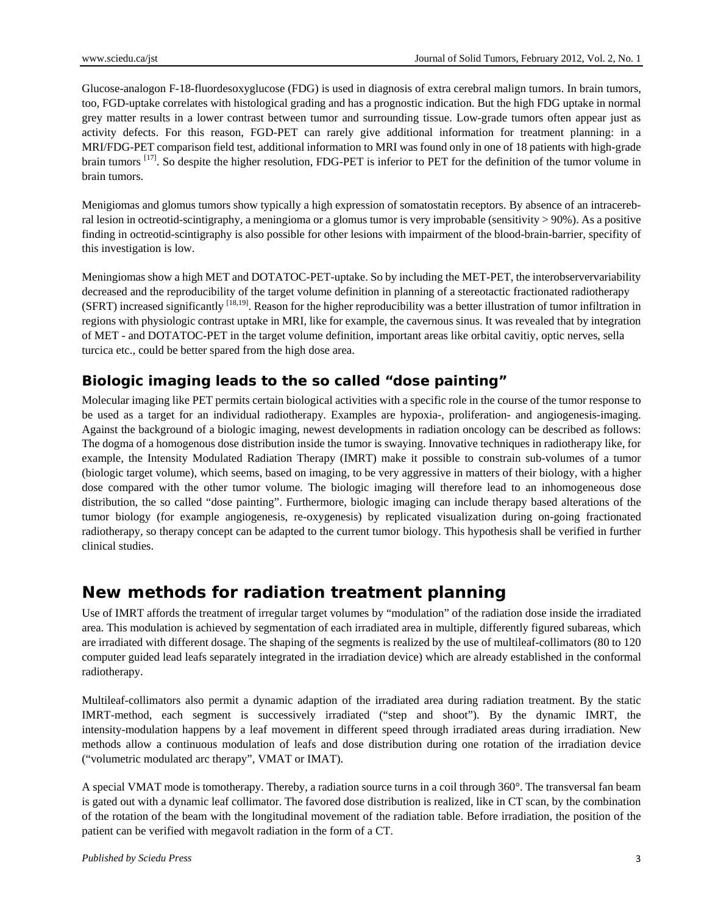Glucose-analogon F-18-fluordesoxyglucose (FDG) is used in diagnosis of extra cerebral malign tumors. In brain tumors, too, FGD-uptake correlates with histological grading and has a prognostic indication. But the high FDG uptake in normal grey matter results in a lower contrast between tumor and surrounding tissue. Low-grade tumors often appear just as activity defects. For this reason, FGD-PET can rarely give additional information for treatment planning: in a MRI/FDG-PET comparison field test, additional information to MRI was found only in one of 18 patients with high-grade brain tumors <sup>[17]</sup>. So despite the higher resolution, FDG-PET is inferior to PET for the definition of the tumor volume in brain tumors.

Menigiomas and glomus tumors show typically a high expression of somatostatin receptors. By absence of an intracerebral lesion in octreotid-scintigraphy, a meningioma or a glomus tumor is very improbable (sensitivity > 90%). As a positive finding in octreotid-scintigraphy is also possible for other lesions with impairment of the blood-brain-barrier, specifity of this investigation is low.

Meningiomas show a high MET and DOTATOC-PET-uptake. So by including the MET-PET, the interobservervariability decreased and the reproducibility of the target volume definition in planning of a stereotactic fractionated radiotherapy (SFRT) increased significantly <sup>[18,19]</sup>. Reason for the higher reproducibility was a better illustration of tumor infiltration in regions with physiologic contrast uptake in MRI, like for example, the cavernous sinus. It was revealed that by integration of MET - and DOTATOC-PET in the target volume definition, important areas like orbital cavitiy, optic nerves, sella turcica etc., could be better spared from the high dose area.

#### **Biologic imaging leads to the so called "dose painting"**

Molecular imaging like PET permits certain biological activities with a specific role in the course of the tumor response to be used as a target for an individual radiotherapy. Examples are hypoxia-, proliferation- and angiogenesis-imaging. Against the background of a biologic imaging, newest developments in radiation oncology can be described as follows: The dogma of a homogenous dose distribution inside the tumor is swaying. Innovative techniques in radiotherapy like, for example, the Intensity Modulated Radiation Therapy (IMRT) make it possible to constrain sub-volumes of a tumor (biologic target volume), which seems, based on imaging, to be very aggressive in matters of their biology, with a higher dose compared with the other tumor volume. The biologic imaging will therefore lead to an inhomogeneous dose distribution, the so called "dose painting". Furthermore, biologic imaging can include therapy based alterations of the tumor biology (for example angiogenesis, re-oxygenesis) by replicated visualization during on-going fractionated radiotherapy, so therapy concept can be adapted to the current tumor biology. This hypothesis shall be verified in further clinical studies.

#### **New methods for radiation treatment planning**

Use of IMRT affords the treatment of irregular target volumes by "modulation" of the radiation dose inside the irradiated area. This modulation is achieved by segmentation of each irradiated area in multiple, differently figured subareas, which are irradiated with different dosage. The shaping of the segments is realized by the use of multileaf-collimators (80 to 120 computer guided lead leafs separately integrated in the irradiation device) which are already established in the conformal radiotherapy.

Multileaf-collimators also permit a dynamic adaption of the irradiated area during radiation treatment. By the static IMRT-method, each segment is successively irradiated ("step and shoot"). By the dynamic IMRT, the intensity-modulation happens by a leaf movement in different speed through irradiated areas during irradiation. New methods allow a continuous modulation of leafs and dose distribution during one rotation of the irradiation device ("volumetric modulated arc therapy", VMAT or IMAT).

A special VMAT mode is tomotherapy. Thereby, a radiation source turns in a coil through 360°. The transversal fan beam is gated out with a dynamic leaf collimator. The favored dose distribution is realized, like in CT scan, by the combination of the rotation of the beam with the longitudinal movement of the radiation table. Before irradiation, the position of the patient can be verified with megavolt radiation in the form of a CT.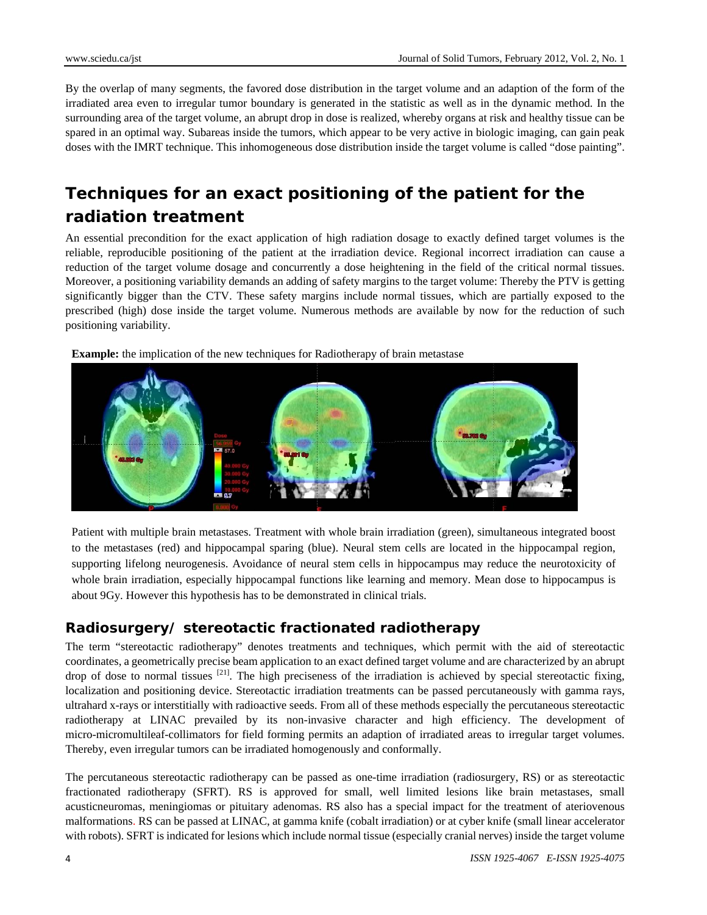By the overlap of many segments, the favored dose distribution in the target volume and an adaption of the form of the irradiated area even to irregular tumor boundary is generated in the statistic as well as in the dynamic method. In the surrounding area of the target volume, an abrupt drop in dose is realized, whereby organs at risk and healthy tissue can be spared in an optimal way. Subareas inside the tumors, which appear to be very active in biologic imaging, can gain peak doses with the IMRT technique. This inhomogeneous dose distribution inside the target volume is called "dose painting".

## **Techniques for an exact positioning of the patient for the radiation treatment**

An essential precondition for the exact application of high radiation dosage to exactly defined target volumes is the reliable, reproducible positioning of the patient at the irradiation device. Regional incorrect irradiation can cause a reduction of the target volume dosage and concurrently a dose heightening in the field of the critical normal tissues. Moreover, a positioning variability demands an adding of safety margins to the target volume: Thereby the PTV is getting significantly bigger than the CTV. These safety margins include normal tissues, which are partially exposed to the prescribed (high) dose inside the target volume. Numerous methods are available by now for the reduction of such positioning variability.

**Example:** the implication of the new techniques for Radiotherapy of brain metastase



Patient with multiple brain metastases. Treatment with whole brain irradiation (green), simultaneous integrated boost to the metastases (red) and hippocampal sparing (blue). Neural stem cells are located in the hippocampal region, supporting lifelong neurogenesis. Avoidance of neural stem cells in hippocampus may reduce the neurotoxicity of whole brain irradiation, especially hippocampal functions like learning and memory. Mean dose to hippocampus is about 9Gy. However this hypothesis has to be demonstrated in clinical trials.

#### **Radiosurgery/ stereotactic fractionated radiotherapy**

The term "stereotactic radiotherapy" denotes treatments and techniques, which permit with the aid of stereotactic coordinates, a geometrically precise beam application to an exact defined target volume and are characterized by an abrupt drop of dose to normal tissues  $[21]$ . The high preciseness of the irradiation is achieved by special stereotactic fixing, localization and positioning device. Stereotactic irradiation treatments can be passed percutaneously with gamma rays, ultrahard x-rays or interstitially with radioactive seeds. From all of these methods especially the percutaneous stereotactic radiotherapy at LINAC prevailed by its non-invasive character and high efficiency. The development of micro-micromultileaf-collimators for field forming permits an adaption of irradiated areas to irregular target volumes. Thereby, even irregular tumors can be irradiated homogenously and conformally.

The percutaneous stereotactic radiotherapy can be passed as one-time irradiation (radiosurgery, RS) or as stereotactic fractionated radiotherapy (SFRT). RS is approved for small, well limited lesions like brain metastases, small acusticneuromas, meningiomas or pituitary adenomas. RS also has a special impact for the treatment of ateriovenous malformations. RS can be passed at LINAC, at gamma knife (cobalt irradiation) or at cyber knife (small linear accelerator with robots). SFRT is indicated for lesions which include normal tissue (especially cranial nerves) inside the target volume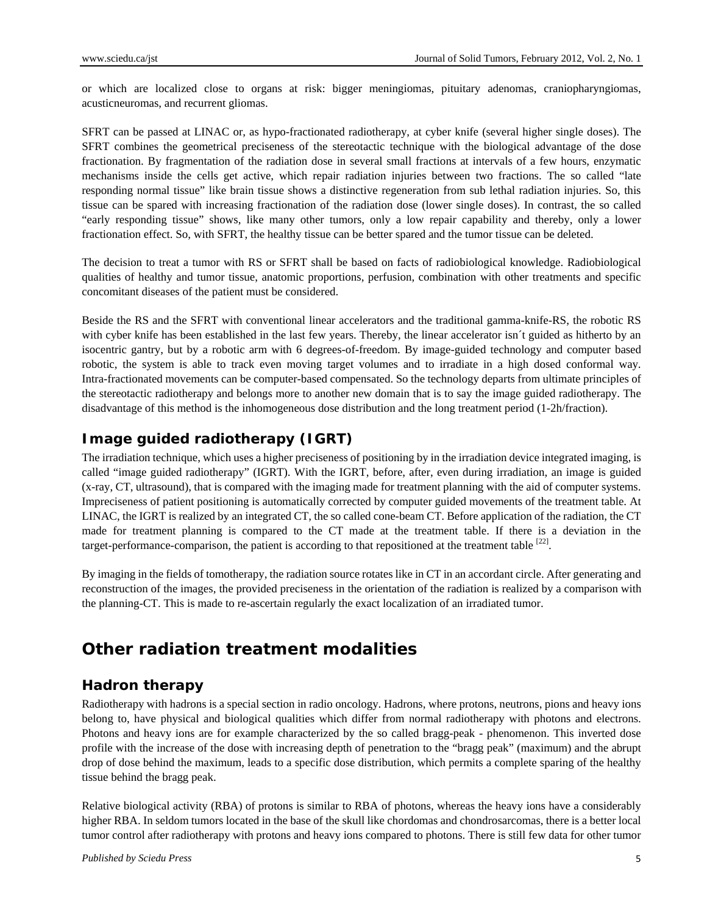or which are localized close to organs at risk: bigger meningiomas, pituitary adenomas, craniopharyngiomas, acusticneuromas, and recurrent gliomas.

SFRT can be passed at LINAC or, as hypo-fractionated radiotherapy, at cyber knife (several higher single doses). The SFRT combines the geometrical preciseness of the stereotactic technique with the biological advantage of the dose fractionation. By fragmentation of the radiation dose in several small fractions at intervals of a few hours, enzymatic mechanisms inside the cells get active, which repair radiation injuries between two fractions. The so called "late responding normal tissue" like brain tissue shows a distinctive regeneration from sub lethal radiation injuries. So, this tissue can be spared with increasing fractionation of the radiation dose (lower single doses). In contrast, the so called "early responding tissue" shows, like many other tumors, only a low repair capability and thereby, only a lower fractionation effect. So, with SFRT, the healthy tissue can be better spared and the tumor tissue can be deleted.

The decision to treat a tumor with RS or SFRT shall be based on facts of radiobiological knowledge. Radiobiological qualities of healthy and tumor tissue, anatomic proportions, perfusion, combination with other treatments and specific concomitant diseases of the patient must be considered.

Beside the RS and the SFRT with conventional linear accelerators and the traditional gamma-knife-RS, the robotic RS with cyber knife has been established in the last few years. Thereby, the linear accelerator isn´t guided as hitherto by an isocentric gantry, but by a robotic arm with 6 degrees-of-freedom. By image-guided technology and computer based robotic, the system is able to track even moving target volumes and to irradiate in a high dosed conformal way. Intra-fractionated movements can be computer-based compensated. So the technology departs from ultimate principles of the stereotactic radiotherapy and belongs more to another new domain that is to say the image guided radiotherapy. The disadvantage of this method is the inhomogeneous dose distribution and the long treatment period (1-2h/fraction).

#### **Image guided radiotherapy (IGRT)**

The irradiation technique, which uses a higher preciseness of positioning by in the irradiation device integrated imaging, is called "image guided radiotherapy" (IGRT). With the IGRT, before, after, even during irradiation, an image is guided (x-ray, CT, ultrasound), that is compared with the imaging made for treatment planning with the aid of computer systems. Impreciseness of patient positioning is automatically corrected by computer guided movements of the treatment table. At LINAC, the IGRT is realized by an integrated CT, the so called cone-beam CT. Before application of the radiation, the CT made for treatment planning is compared to the CT made at the treatment table. If there is a deviation in the target-performance-comparison, the patient is according to that repositioned at the treatment table  $[22]$ .

By imaging in the fields of tomotherapy, the radiation source rotates like in CT in an accordant circle. After generating and reconstruction of the images, the provided preciseness in the orientation of the radiation is realized by a comparison with the planning-CT. This is made to re-ascertain regularly the exact localization of an irradiated tumor.

## **Other radiation treatment modalities**

#### **Hadron therapy**

Radiotherapy with hadrons is a special section in radio oncology. Hadrons, where protons, neutrons, pions and heavy ions belong to, have physical and biological qualities which differ from normal radiotherapy with photons and electrons. Photons and heavy ions are for example characterized by the so called bragg-peak - phenomenon. This inverted dose profile with the increase of the dose with increasing depth of penetration to the "bragg peak" (maximum) and the abrupt drop of dose behind the maximum, leads to a specific dose distribution, which permits a complete sparing of the healthy tissue behind the bragg peak.

Relative biological activity (RBA) of protons is similar to RBA of photons, whereas the heavy ions have a considerably higher RBA. In seldom tumors located in the base of the skull like chordomas and chondrosarcomas, there is a better local tumor control after radiotherapy with protons and heavy ions compared to photons. There is still few data for other tumor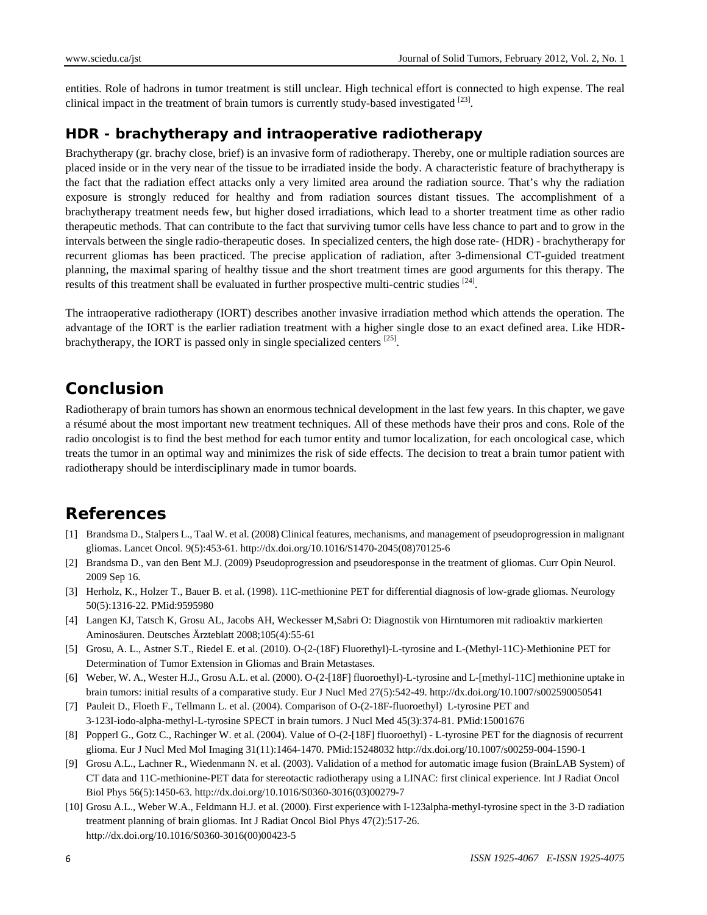entities. Role of hadrons in tumor treatment is still unclear. High technical effort is connected to high expense. The real clinical impact in the treatment of brain tumors is currently study-based investigated  $^{[23]}$ .

#### **HDR - brachytherapy and intraoperative radiotherapy**

Brachytherapy (gr. brachy close, brief) is an invasive form of radiotherapy. Thereby, one or multiple radiation sources are placed inside or in the very near of the tissue to be irradiated inside the body. A characteristic feature of brachytherapy is the fact that the radiation effect attacks only a very limited area around the radiation source. That's why the radiation exposure is strongly reduced for healthy and from radiation sources distant tissues. The accomplishment of a brachytherapy treatment needs few, but higher dosed irradiations, which lead to a shorter treatment time as other radio therapeutic methods. That can contribute to the fact that surviving tumor cells have less chance to part and to grow in the intervals between the single radio-therapeutic doses. In specialized centers, the high dose rate- (HDR) - brachytherapy for recurrent gliomas has been practiced. The precise application of radiation, after 3-dimensional CT-guided treatment planning, the maximal sparing of healthy tissue and the short treatment times are good arguments for this therapy. The results of this treatment shall be evaluated in further prospective multi-centric studies <sup>[24]</sup>.

The intraoperative radiotherapy (IORT) describes another invasive irradiation method which attends the operation. The advantage of the IORT is the earlier radiation treatment with a higher single dose to an exact defined area. Like HDRbrachytherapy, the IORT is passed only in single specialized centers <sup>[25]</sup>.

## **Conclusion**

Radiotherapy of brain tumors has shown an enormous technical development in the last few years. In this chapter, we gave a résumé about the most important new treatment techniques. All of these methods have their pros and cons. Role of the radio oncologist is to find the best method for each tumor entity and tumor localization, for each oncological case, which treats the tumor in an optimal way and minimizes the risk of side effects. The decision to treat a brain tumor patient with radiotherapy should be interdisciplinary made in tumor boards.

## **References**

- [1] Brandsma D., Stalpers L., Taal W. et al. (2008) Clinical features, mechanisms, and management of pseudoprogression in malignant gliomas. Lancet Oncol. 9(5):453-61. http://dx.doi.org/10.1016/S1470-2045(08)70125-6
- [2] Brandsma D., van den Bent M.J. (2009) Pseudoprogression and pseudoresponse in the treatment of gliomas. Curr Opin Neurol. 2009 Sep 16.
- [3] Herholz, K., Holzer T., Bauer B. et al. (1998). 11C-methionine PET for differential diagnosis of low-grade gliomas. Neurology 50(5):1316-22. PMid:9595980
- [4] Langen KJ, Tatsch K, Grosu AL, Jacobs AH, Weckesser M,Sabri O: Diagnostik von Hirntumoren mit radioaktiv markierten Aminosäuren. Deutsches Ärzteblatt 2008;105(4):55-61
- [5] Grosu, A. L., Astner S.T., Riedel E. et al. (2010). O-(2-(18F) Fluorethyl)-L-tyrosine and L-(Methyl-11C)-Methionine PET for Determination of Tumor Extension in Gliomas and Brain Metastases.
- [6] Weber, W. A., Wester H.J., Grosu A.L. et al. (2000). O-(2-[18F] fluoroethyl)-L-tyrosine and L-[methyl-11C] methionine uptake in brain tumors: initial results of a comparative study. Eur J Nucl Med 27(5):542-49. http://dx.doi.org/10.1007/s002590050541
- [7] Pauleit D., Floeth F., Tellmann L. et al. (2004). Comparison of O-(2-18F-fluoroethyl) L-tyrosine PET and 3-123I-iodo-alpha-methyl-L-tyrosine SPECT in brain tumors. J Nucl Med 45(3):374-81. PMid:15001676
- [8] Popperl G., Gotz C., Rachinger W. et al. (2004). Value of O-(2-[18F] fluoroethyl) L-tyrosine PET for the diagnosis of recurrent glioma. Eur J Nucl Med Mol Imaging 31(11):1464-1470. PMid:15248032 http://dx.doi.org/10.1007/s00259-004-1590-1
- [9] Grosu A.L., Lachner R., Wiedenmann N. et al. (2003). Validation of a method for automatic image fusion (BrainLAB System) of CT data and 11C-methionine-PET data for stereotactic radiotherapy using a LINAC: first clinical experience. Int J Radiat Oncol Biol Phys 56(5):1450-63. http://dx.doi.org/10.1016/S0360-3016(03)00279-7
- [10] Grosu A.L., Weber W.A., Feldmann H.J. et al. (2000). First experience with I-123alpha-methyl-tyrosine spect in the 3-D radiation treatment planning of brain gliomas. Int J Radiat Oncol Biol Phys 47(2):517-26. http://dx.doi.org/10.1016/S0360-3016(00)00423-5